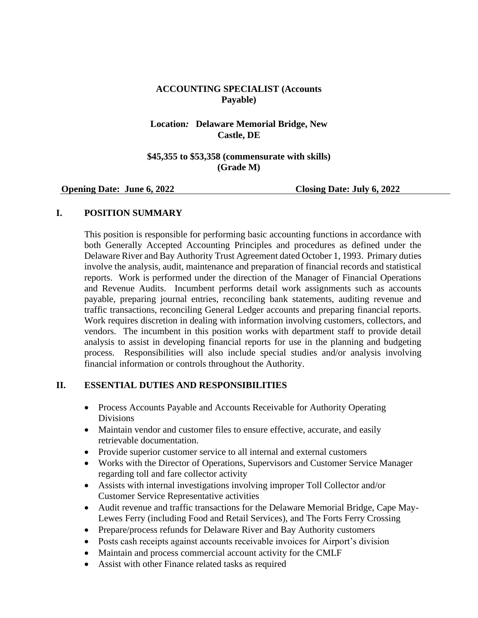### **ACCOUNTING SPECIALIST (Accounts Payable)**

### **Location***:* **Delaware Memorial Bridge, New Castle, DE**

#### **\$45,355 to \$53,358 (commensurate with skills) (Grade M)**

#### **Opening Date: June 6, 2022 Closing Date: July 6, 2022**

### **I. POSITION SUMMARY**

This position is responsible for performing basic accounting functions in accordance with both Generally Accepted Accounting Principles and procedures as defined under the Delaware River and Bay Authority Trust Agreement dated October 1, 1993. Primary duties involve the analysis, audit, maintenance and preparation of financial records and statistical reports. Work is performed under the direction of the Manager of Financial Operations and Revenue Audits. Incumbent performs detail work assignments such as accounts payable, preparing journal entries, reconciling bank statements, auditing revenue and traffic transactions, reconciling General Ledger accounts and preparing financial reports. Work requires discretion in dealing with information involving customers, collectors, and vendors. The incumbent in this position works with department staff to provide detail analysis to assist in developing financial reports for use in the planning and budgeting process. Responsibilities will also include special studies and/or analysis involving financial information or controls throughout the Authority.

#### **II. ESSENTIAL DUTIES AND RESPONSIBILITIES**

- Process Accounts Payable and Accounts Receivable for Authority Operating Divisions
- Maintain vendor and customer files to ensure effective, accurate, and easily retrievable documentation.
- Provide superior customer service to all internal and external customers
- Works with the Director of Operations, Supervisors and Customer Service Manager regarding toll and fare collector activity
- Assists with internal investigations involving improper Toll Collector and/or Customer Service Representative activities
- Audit revenue and traffic transactions for the Delaware Memorial Bridge, Cape May-Lewes Ferry (including Food and Retail Services), and The Forts Ferry Crossing
- Prepare/process refunds for Delaware River and Bay Authority customers
- Posts cash receipts against accounts receivable invoices for Airport's division
- Maintain and process commercial account activity for the CMLF
- Assist with other Finance related tasks as required